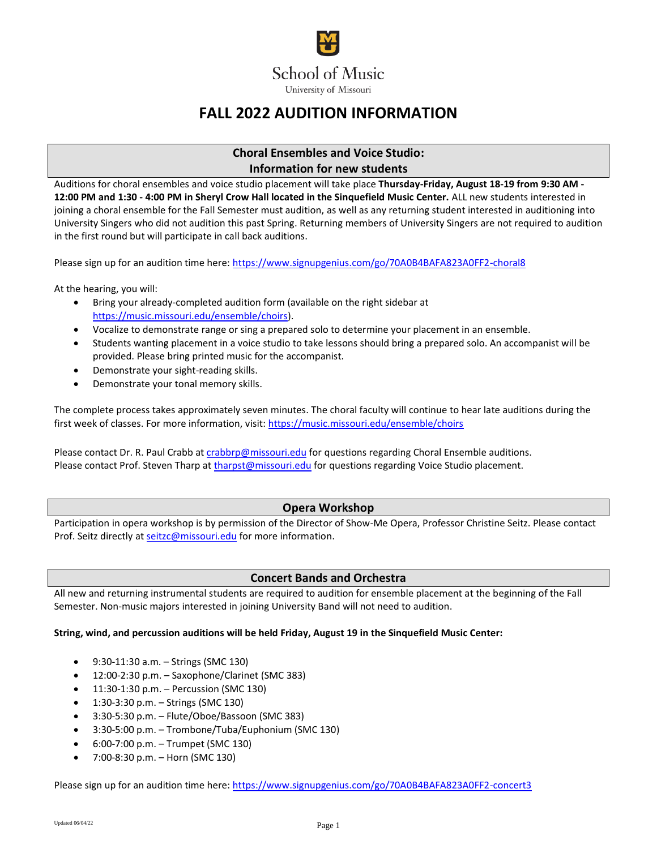

# **FALL 2022 AUDITION INFORMATION**

# **Choral Ensembles and Voice Studio: Information for new students**

Auditions for choral ensembles and voice studio placement will take place **Thursday-Friday, August 18-19 from 9:30 AM - 12:00 PM and 1:30 - 4:00 PM in Sheryl Crow Hall located in the Sinquefield Music Center.** ALL new students interested in joining a choral ensemble for the Fall Semester must audition, as well as any returning student interested in auditioning into University Singers who did not audition this past Spring. Returning members of University Singers are not required to audition in the first round but will participate in call back auditions.

Please sign up for an audition time here:<https://www.signupgenius.com/go/70A0B4BAFA823A0FF2-choral8>

At the hearing, you will:

- Bring your already-completed audition form (available on the right sidebar at [https://music.missouri.edu/ensemble/choirs\)](https://music.missouri.edu/ensemble/choirs).
- Vocalize to demonstrate range or sing a prepared solo to determine your placement in an ensemble.
- Students wanting placement in a voice studio to take lessons should bring a prepared solo. An accompanist will be provided. Please bring printed music for the accompanist.
- Demonstrate your sight-reading skills.
- Demonstrate your tonal memory skills.

The complete process takes approximately seven minutes. The choral faculty will continue to hear late auditions during the first week of classes. For more information, visit:<https://music.missouri.edu/ensemble/choirs>

Please contact Dr. R. Paul Crabb a[t crabbrp@missouri.edu](mailto:crabbrp@missouri.edu) for questions regarding Choral Ensemble auditions. Please contact Prof. Steven Tharp a[t tharpst@missouri.edu](mailto:tharpst@missouri.edu) for questions regarding Voice Studio placement.

### **Opera Workshop**

Participation in opera workshop is by permission of the Director of Show-Me Opera, Professor Christine Seitz. Please contact Prof. Seitz directly a[t seitzc@missouri.edu](mailto:seitzc@missouri.edu) for more information.

# **Concert Bands and Orchestra**

All new and returning instrumental students are required to audition for ensemble placement at the beginning of the Fall Semester. Non-music majors interested in joining University Band will not need to audition.

#### **String, wind, and percussion auditions will be held Friday, August 19 in the Sinquefield Music Center:**

- 9:30-11:30 a.m. Strings (SMC 130)
- $\bullet$  12:00-2:30 p.m. Saxophone/Clarinet (SMC 383)
- 11:30-1:30 p.m. Percussion (SMC 130)
- 1:30-3:30 p.m. Strings (SMC 130)
- 3:30-5:30 p.m. Flute/Oboe/Bassoon (SMC 383)
- 3:30-5:00 p.m. Trombone/Tuba/Euphonium (SMC 130)
- 6:00-7:00 p.m. Trumpet (SMC 130)
- 7:00-8:30 p.m. Horn (SMC 130)

Please sign up for an audition time here:<https://www.signupgenius.com/go/70A0B4BAFA823A0FF2-concert3>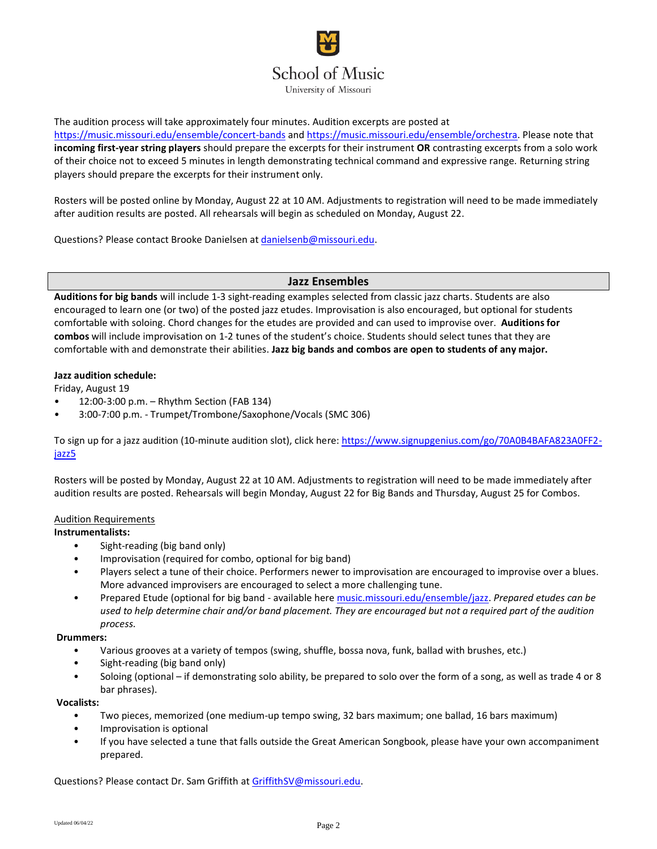# **School of Music**

University of Missouri

The audition process will take approximately four minutes. Audition excerpts are posted at

<https://music.missouri.edu/ensemble/concert-bands> and [https://music.missouri.edu/ensemble/orchestra.](https://music.missouri.edu/ensemble/orchestra) Please note that **incoming first-year string players** should prepare the excerpts for their instrument **OR** contrasting excerpts from a solo work of their choice not to exceed 5 minutes in length demonstrating technical command and expressive range. Returning string players should prepare the excerpts for their instrument only.

Rosters will be posted online by Monday, August 22 at 10 AM. Adjustments to registration will need to be made immediately after audition results are posted. All rehearsals will begin as scheduled on Monday, August 22.

Questions? Please contact Brooke Danielsen a[t danielsenb@missouri.edu.](mailto:danielsenb@missouri.edu)

#### **Jazz Ensembles**

**Auditions for big bands** will include 1-3 sight-reading examples selected from classic jazz charts. Students are also encouraged to learn one (or two) of the posted jazz etudes. Improvisation is also encouraged, but optional for students comfortable with soloing. Chord changes for the etudes are provided and can used to improvise over. **Auditions for combos** will include improvisation on 1-2 tunes of the student's choice. Students should select tunes that they are comfortable with and demonstrate their abilities. **Jazz big bands and combos are open to students of any major.**

#### **Jazz audition schedule:**

Friday, August 19

- 12:00-3:00 p.m. Rhythm Section (FAB 134)
- 3:00-7:00 p.m. Trumpet/Trombone/Saxophone/Vocals (SMC 306)

To sign up for a jazz audition (10-minute audition slot), click here: [https://www.signupgenius.com/go/70A0B4BAFA823A0FF2](https://www.signupgenius.com/go/70A0B4BAFA823A0FF2-jazz5) [jazz5](https://www.signupgenius.com/go/70A0B4BAFA823A0FF2-jazz5)

Rosters will be posted by Monday, August 22 at 10 AM. Adjustments to registration will need to be made immediately after audition results are posted. Rehearsals will begin Monday, August 22 for Big Bands and Thursday, August 25 for Combos.

#### Audition Requirements

#### **Instrumentalists:**

- Sight-reading (big band only)
- Improvisation (required for combo, optional for big band)
- Players select a tune of their choice. Performers newer to improvisation are encouraged to improvise over a blues. More advanced improvisers are encouraged to select a more challenging tune.
- Prepared Etude (optional for big band available here [music.missouri.edu/ensemble/jazz.](https://music.missouri.edu/ensemble/jazz) *Prepared etudes can be used to help determine chair and/or band placement. They are encouraged but not a required part of the audition process.*

#### **Drummers:**

- Various grooves at a variety of tempos (swing, shuffle, bossa nova, funk, ballad with brushes, etc.)
- Sight-reading (big band only)
- Soloing (optional if demonstrating solo ability, be prepared to solo over the form of a song, as well as trade 4 or 8 bar phrases).

#### **Vocalists:**

- Two pieces, memorized (one medium-up tempo swing, 32 bars maximum; one ballad, 16 bars maximum)
- Improvisation is optional
- If you have selected a tune that falls outside the Great American Songbook, please have your own accompaniment prepared.

Questions? Please contact Dr. Sam Griffith at [GriffithSV@missouri.edu.](mailto:GriffithSV@missouri.edu)